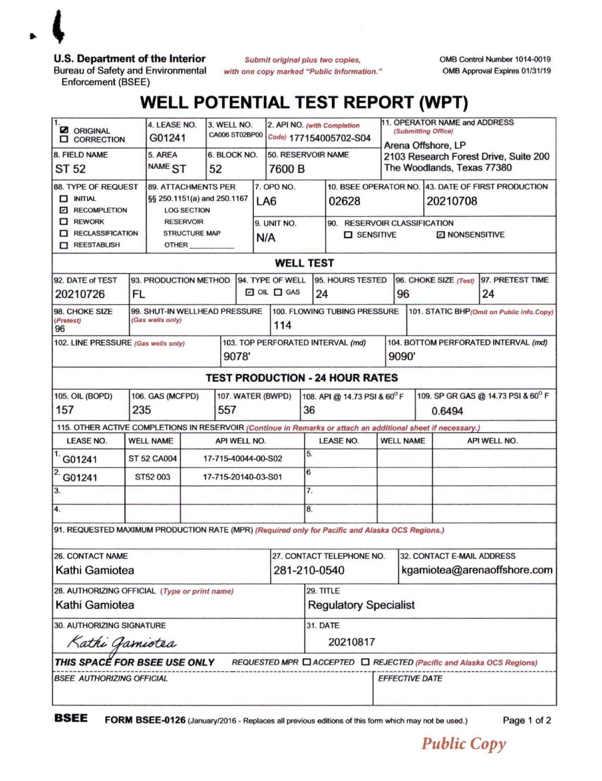

**U.S. Department of the Interior**

Bureau of Safety and Environmental Enforcement (BSEE)

*Submit original plus two copies, with one copy marked "Public Information.'* **OMB Control Number 1014-0019 OMB Approval Expires 01/31/19**

## **WELL POTENTIAL TEST REPORT (WPT)**

| 11.<br><b>Z</b> ORIGINAL<br><b>Q</b> CORRECTION                                                                                  |                         | 4. LEASE NO.<br>G01241                                                                                                               |                     | 3. WELL NO.<br><b>CA006 ST02BP00</b> |                          | 2. API NO. (with Completion<br>Code) 177154005702-S04 |                              |                              | 11. OPERATOR NAME and ADDRESS<br>(Submitting Office)<br>Arena Offshore, LP |                                                                     |                                                                                         |                                              |              |  |
|----------------------------------------------------------------------------------------------------------------------------------|-------------------------|--------------------------------------------------------------------------------------------------------------------------------------|---------------------|--------------------------------------|--------------------------|-------------------------------------------------------|------------------------------|------------------------------|----------------------------------------------------------------------------|---------------------------------------------------------------------|-----------------------------------------------------------------------------------------|----------------------------------------------|--------------|--|
| 8. FIELD NAME<br>ST 52                                                                                                           |                         | 5. AREA<br>NAME <sub>ST</sub>                                                                                                        |                     | 6. BLOCK NO.<br>52                   |                          |                                                       | 50. RESERVOIR NAME<br>7600 B |                              |                                                                            | 2103 Research Forest Drive, Suite 200<br>The Woodlands, Texas 77380 |                                                                                         |                                              |              |  |
| 88. TYPE OF REQUEST<br>$\Box$ INITIAL<br><b>Z RECOMPLETION</b><br>$\Box$ REWORK<br><b>RECLASSIFICATION</b><br><b>NEESTABLISH</b> |                         | <b>89. ATTACHMENTS PER</b><br>§§ 250.1151(a) and 250.1167<br><b>LOG SECTION</b><br><b>RESERVOIR</b><br><b>STRUCTURE MAP</b><br>OTHER |                     |                                      |                          | LA6<br>N/A                                            | 7. OPD NO.<br>9. UNIT NO.    |                              | 02628<br>90. RESERVOIR CLASSIFICATION<br>$\square$ SENSITIVE               |                                                                     | 10. BSEE OPERATOR NO. 43. DATE OF FIRST PRODUCTION<br>20210708<br><b>E NONSENSITIVE</b> |                                              |              |  |
| <b>WELL TEST</b>                                                                                                                 |                         |                                                                                                                                      |                     |                                      |                          |                                                       |                              |                              |                                                                            |                                                                     |                                                                                         |                                              |              |  |
| 92. DATE of TEST<br>20210726                                                                                                     | <b>FL</b>               | 93. PRODUCTION METHOD                                                                                                                |                     |                                      |                          | 94. TYPE OF WELL<br>$\Box$ OIL $\Box$ GAS<br>24       |                              | 95. HOURS TESTED             |                                                                            | 96. CHOKE SIZE (Test)<br>96                                         |                                                                                         | 97. PRETEST TIME<br>24                       |              |  |
| 98. CHOKE SIZE<br>(Pretest)<br>96                                                                                                |                         | 99. SHUT-IN WELLHEAD PRESSURE<br>(Gas wells only)<br>114                                                                             |                     |                                      |                          |                                                       |                              | 100. FLOWING TUBING PRESSURE |                                                                            |                                                                     |                                                                                         | 101. STATIC BHP (Omit on Public Info.Copy)   |              |  |
| 102. LINE PRESSURE (Gas wells only)                                                                                              |                         |                                                                                                                                      |                     |                                      | 9078'                    |                                                       |                              |                              | 103. TOP PERFORATED INTERVAL (md)                                          |                                                                     | 104. BOTTOM PERFORATED INTERVAL (md)<br>9090'                                           |                                              |              |  |
| <b>TEST PRODUCTION - 24 HOUR RATES</b>                                                                                           |                         |                                                                                                                                      |                     |                                      |                          |                                                       |                              |                              |                                                                            |                                                                     |                                                                                         |                                              |              |  |
| <b>105. OIL (BOPD)</b><br>157                                                                                                    | 106. GAS (MCFPD)<br>235 |                                                                                                                                      |                     |                                      | 107. WATER (BWPD)<br>557 |                                                       |                              |                              | 108. API @ 14.73 PSI & 60°F<br>36                                          |                                                                     |                                                                                         | 109. SP GR GAS @ 14.73 PSI & 60° F<br>0.6494 |              |  |
| 115. OTHER ACTIVE COMPLETIONS IN RESERVOIR (Continue in Remarks or attach an additional sheet if necessary.)                     |                         |                                                                                                                                      |                     |                                      |                          |                                                       |                              |                              |                                                                            |                                                                     |                                                                                         |                                              |              |  |
| <b>LEASE NO.</b>                                                                                                                 | <b>WELL NAME</b>        |                                                                                                                                      |                     | API WELL NO.                         |                          |                                                       |                              |                              | <b>LEASE NO.</b>                                                           |                                                                     | <b>WELL NAME</b>                                                                        |                                              | API WELL NO. |  |
| G01241                                                                                                                           |                         | <b>ST 52 CA004</b>                                                                                                                   |                     |                                      | 17-715-40044-00-S02      |                                                       |                              | 5.                           |                                                                            |                                                                     |                                                                                         |                                              |              |  |
| G01241                                                                                                                           | ST52 003                |                                                                                                                                      | 17-715-20140-03-S01 |                                      |                          | 6                                                     |                              |                              |                                                                            |                                                                     |                                                                                         |                                              |              |  |
| 3.                                                                                                                               |                         |                                                                                                                                      |                     |                                      |                          |                                                       | 7.                           |                              |                                                                            |                                                                     |                                                                                         |                                              |              |  |
| 4.                                                                                                                               |                         |                                                                                                                                      |                     |                                      |                          |                                                       |                              | 8.                           |                                                                            |                                                                     |                                                                                         |                                              |              |  |
| 91. REQUESTED MAXIMUM PRODUCTION RATE (MPR) (Required only for Pacific and Alaska OCS Regions.)                                  |                         |                                                                                                                                      |                     |                                      |                          |                                                       |                              |                              |                                                                            |                                                                     |                                                                                         |                                              |              |  |
| 26. CONTACT NAME                                                                                                                 |                         |                                                                                                                                      |                     |                                      |                          |                                                       |                              | 27. CONTACT TELEPHONE NO.    |                                                                            |                                                                     | 32. CONTACT E-MAIL ADDRESS                                                              |                                              |              |  |
| Kathi Gamiotea                                                                                                                   |                         |                                                                                                                                      |                     |                                      |                          |                                                       |                              | 281-210-0540                 |                                                                            |                                                                     | kgamiotea@arenaoffshore.com                                                             |                                              |              |  |
| 28. AUTHORIZING OFFICIAL (Type or print name)<br>Kathi Gamiotea                                                                  |                         |                                                                                                                                      |                     |                                      |                          |                                                       |                              |                              | 29. TITLE<br><b>Regulatory Specialist</b>                                  |                                                                     |                                                                                         |                                              |              |  |
| <b>30. AUTHORIZING SIGNATURE</b>                                                                                                 |                         |                                                                                                                                      |                     |                                      |                          |                                                       |                              | <b>31. DATE</b>              |                                                                            |                                                                     |                                                                                         |                                              |              |  |
| Kathi Gamiotea                                                                                                                   |                         |                                                                                                                                      |                     |                                      |                          |                                                       |                              | 20210817                     |                                                                            |                                                                     |                                                                                         |                                              |              |  |
| THIS SPACÉ FOR BSEE USE ONLY<br>REQUESTED MPR □ ACCEPTED □ REJECTED (Pacific and Alaska OCS Regions)                             |                         |                                                                                                                                      |                     |                                      |                          |                                                       |                              |                              |                                                                            |                                                                     |                                                                                         |                                              |              |  |
| <b>BSEE AUTHORIZING OFFICIAL</b>                                                                                                 |                         |                                                                                                                                      |                     |                                      |                          |                                                       |                              |                              |                                                                            | <b>EFFECTIVE DATE</b>                                               |                                                                                         |                                              |              |  |

**BSEE** FORM BSEE-0126 (January/2016 - Replaces all previous editions of this form which may not be used.) Page 1 of 2

*Public Copy*